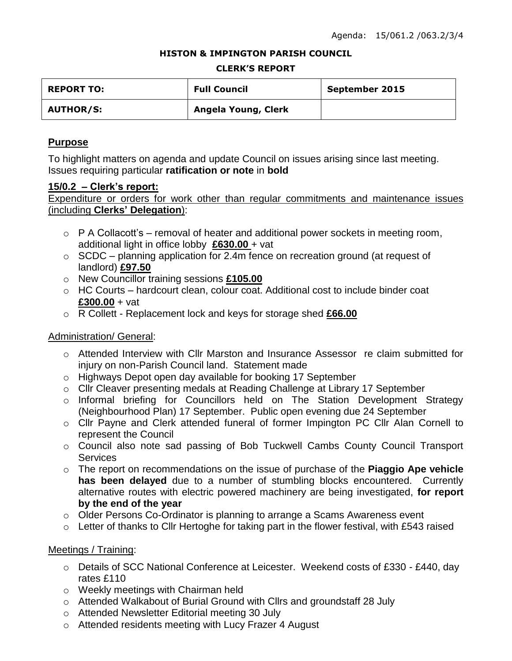#### **HISTON & IMPINGTON PARISH COUNCIL**

#### **CLERK'S REPORT**

| <b>REPORT TO:</b> | <b>Full Council</b> | September 2015 |
|-------------------|---------------------|----------------|
| <b>AUTHOR/S:</b>  | Angela Young, Clerk |                |

## **Purpose**

To highlight matters on agenda and update Council on issues arising since last meeting. Issues requiring particular **ratification or note** in **bold**

### **15/0.2 – Clerk's report:**

Expenditure or orders for work other than regular commitments and maintenance issues (including **Clerks' Delegation**):

- $\circ$  P A Collacott's removal of heater and additional power sockets in meeting room, additional light in office lobby **£630.00** + vat
- o SCDC planning application for 2.4m fence on recreation ground (at request of landlord) **£97.50**
- o New Councillor training sessions **£105.00**
- o HC Courts hardcourt clean, colour coat. Additional cost to include binder coat **£300.00** + vat
- o R Collett Replacement lock and keys for storage shed **£66.00**

## Administration/ General:

- o Attended Interview with Cllr Marston and Insurance Assessor re claim submitted for injury on non-Parish Council land. Statement made
- o Highways Depot open day available for booking 17 September
- o Cllr Cleaver presenting medals at Reading Challenge at Library 17 September
- o Informal briefing for Councillors held on The Station Development Strategy (Neighbourhood Plan) 17 September. Public open evening due 24 September
- o Cllr Payne and Clerk attended funeral of former Impington PC Cllr Alan Cornell to represent the Council
- o Council also note sad passing of Bob Tuckwell Cambs County Council Transport Services
- o The report on recommendations on the issue of purchase of the **Piaggio Ape vehicle has been delayed** due to a number of stumbling blocks encountered. Currently alternative routes with electric powered machinery are being investigated, **for report by the end of the year**
- o Older Persons Co-Ordinator is planning to arrange a Scams Awareness event
- o Letter of thanks to Cllr Hertoghe for taking part in the flower festival, with £543 raised

## Meetings / Training:

- $\circ$  Details of SCC National Conference at Leicester. Weekend costs of £330 £440, day rates £110
- o Weekly meetings with Chairman held
- o Attended Walkabout of Burial Ground with Cllrs and groundstaff 28 July
- o Attended Newsletter Editorial meeting 30 July
- o Attended residents meeting with Lucy Frazer 4 August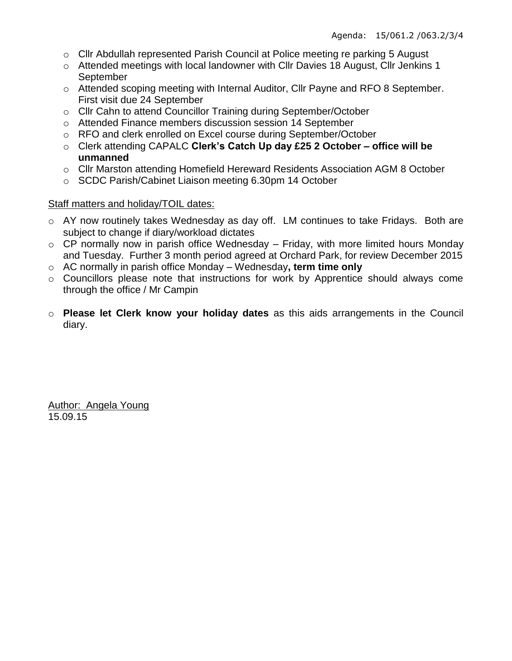- o Cllr Abdullah represented Parish Council at Police meeting re parking 5 August
- o Attended meetings with local landowner with Cllr Davies 18 August, Cllr Jenkins 1 **September**
- o Attended scoping meeting with Internal Auditor, Cllr Payne and RFO 8 September. First visit due 24 September
- o Cllr Cahn to attend Councillor Training during September/October
- o Attended Finance members discussion session 14 September
- o RFO and clerk enrolled on Excel course during September/October
- o Clerk attending CAPALC **Clerk's Catch Up day £25 2 October – office will be unmanned**
- o Cllr Marston attending Homefield Hereward Residents Association AGM 8 October
- o SCDC Parish/Cabinet Liaison meeting 6.30pm 14 October

# Staff matters and holiday/TOIL dates:

- o AY now routinely takes Wednesday as day off. LM continues to take Fridays. Both are subject to change if diary/workload dictates
- $\circ$  CP normally now in parish office Wednesday Friday, with more limited hours Monday and Tuesday. Further 3 month period agreed at Orchard Park, for review December 2015
- o AC normally in parish office Monday Wednesday**, term time only**
- o Councillors please note that instructions for work by Apprentice should always come through the office / Mr Campin
- o **Please let Clerk know your holiday dates** as this aids arrangements in the Council diary.

Author: Angela Young 15.09.15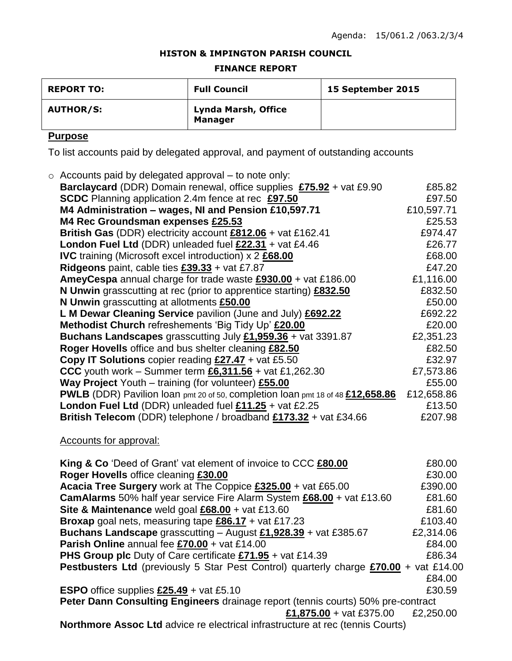#### **HISTON & IMPINGTON PARISH COUNCIL**

### **FINANCE REPORT**

| <b>REPORT TO:</b> | <b>Full Council</b>                   | 15 September 2015 |
|-------------------|---------------------------------------|-------------------|
| <b>AUTHOR/S:</b>  | Lynda Marsh, Office<br><b>Manager</b> |                   |

# **Purpose**

To list accounts paid by delegated approval, and payment of outstanding accounts

| $\circ$ Accounts paid by delegated approval – to note only:                              |            |
|------------------------------------------------------------------------------------------|------------|
| Barclaycard (DDR) Domain renewal, office supplies £75.92 + vat £9.90                     | £85.82     |
| <b>SCDC</b> Planning application 2.4m fence at rec £97.50                                | £97.50     |
| M4 Administration - wages, NI and Pension £10,597.71                                     | £10,597.71 |
| M4 Rec Groundsman expenses £25.53                                                        | £25.53     |
| British Gas (DDR) electricity account £812.06 + vat £162.41                              | £974.47    |
| London Fuel Ltd (DDR) unleaded fuel £22.31 + vat £4.46                                   | £26.77     |
| <b>IVC</b> training (Microsoft excel introduction) $x \, 2 \, \text{\textsterling}68.00$ | £68.00     |
| Ridgeons paint, cable ties $£39.33 + \text{vat } £7.87$                                  | £47.20     |
| AmeyCespa annual charge for trade waste £930.00 + vat £186.00                            | £1,116.00  |
| N Unwin grasscutting at rec (prior to apprentice starting) £832.50                       | £832.50    |
| N Unwin grasscutting at allotments £50.00                                                | £50.00     |
| L M Dewar Cleaning Service pavilion (June and July) £692.22                              | £692.22    |
| Methodist Church refreshements 'Big Tidy Up' £20.00                                      | £20.00     |
| <b>Buchans Landscapes</b> grasscutting July $£1,959.36 + \text{vat } 3391.87$            | £2,351.23  |
| Roger Hovells office and bus shelter cleaning £82.50                                     | £82.50     |
| Copy IT Solutions copier reading $£27.47 + \text{vat } £5.50$                            | £32.97     |
| CCC youth work - Summer term $£6,311.56 +$ vat £1,262.30                                 | £7,573.86  |
| Way Project Youth - training (for volunteer) £55.00                                      | £55.00     |
| <b>PWLB</b> (DDR) Pavilion loan pmt 20 of 50, completion loan pmt 18 of 48 £12,658.86    | £12,658.86 |
| London Fuel Ltd (DDR) unleaded fuel $£11.25 +$ vat £2.25                                 | £13.50     |
| British Telecom (DDR) telephone / broadband £173.32 + vat £34.66                         | £207.98    |
| <b>Accounts for approval:</b>                                                            |            |
| King & Co 'Deed of Grant' vat element of invoice to CCC £80.00                           | £80.00     |
| Roger Hovells office cleaning £30.00                                                     | £30.00     |
| Acacia Tree Surgery work at The Coppice £325.00 + vat £65.00                             | £390.00    |
| <b>CamAlarms</b> 50% half year service Fire Alarm System £68.00 + vat £13.60             | £81.60     |
| Site & Maintenance weld goal $£68.00 +$ vat £13.60                                       | £81.60     |
| <b>Broxap</b> goal nets, measuring tape $£86.17 + \text{vat } £17.23$                    | £103.40    |
| <b>Buchans Landscape</b> grasscutting $-$ August $£1,928.39 +$ vat £385.67               | £2,314.06  |
| Parish Online annual fee £70.00 + vat £14.00                                             | £84.00     |
| <b>PHS Group plc</b> Duty of Care certificate $f71.95 + 121.39$                          | FRA 34     |

| <b>I HO GIVAD DIC</b> DUIY OF CATE CERINGAI <del>C</del> LI 1.33 T VALL 14.03                | LOU.J+    |  |
|----------------------------------------------------------------------------------------------|-----------|--|
| <b>Pestbusters Ltd</b> (previously 5 Star Pest Control) quarterly charge £70.00 + vat £14.00 |           |  |
|                                                                                              | £84.00    |  |
| <b>ESPO</b> office supplies $£25.49 + \text{vat } £5.10$                                     | £30.59    |  |
| Peter Dann Consulting Engineers drainage report (tennis courts) 50% pre-contract             |           |  |
| £1,875.00 + vat £375.00                                                                      | £2,250.00 |  |

**Northmore Assoc Ltd** advice re electrical infrastructure at rec (tennis Courts)